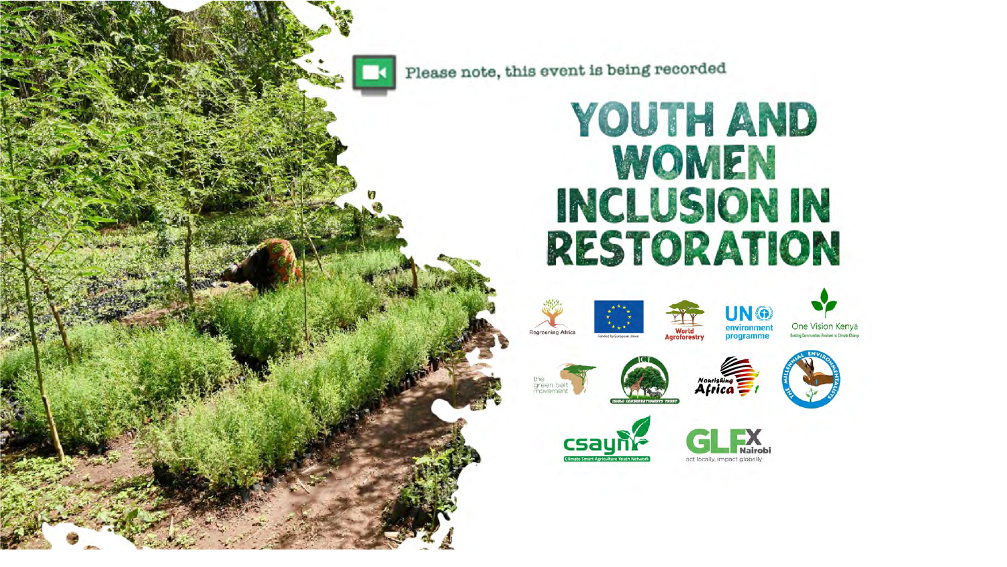

Please note, this event is being recorded

#### **YOUTH AND** WOMEN **INCLUSION IN RESTORATION**























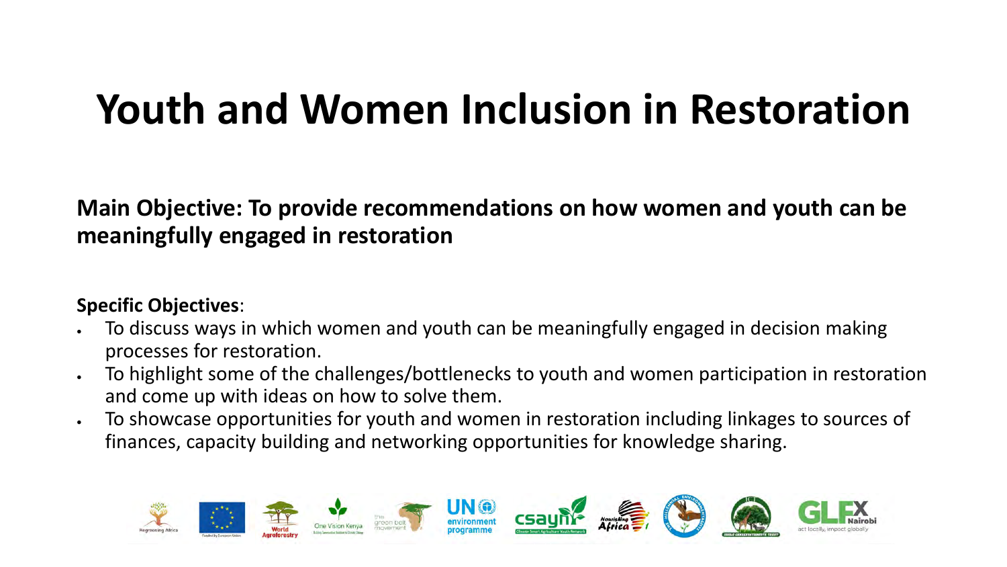# **Youth and Women Inclusion in Restoration**

#### **Main Objective: To provide recommendations on how women and youth can be meaningfully engaged in restoration**

#### **Specific Objectives**:

- To discuss ways in which women and youth can be meaningfully engaged in decision making processes for restoration.
- To highlight some of the challenges/bottlenecks to youth and women participation in restoration and come up with ideas on how to solve them.
- To showcase opportunities for youth and women in restoration including linkages to sources of finances, capacity building and networking opportunities for knowledge sharing.

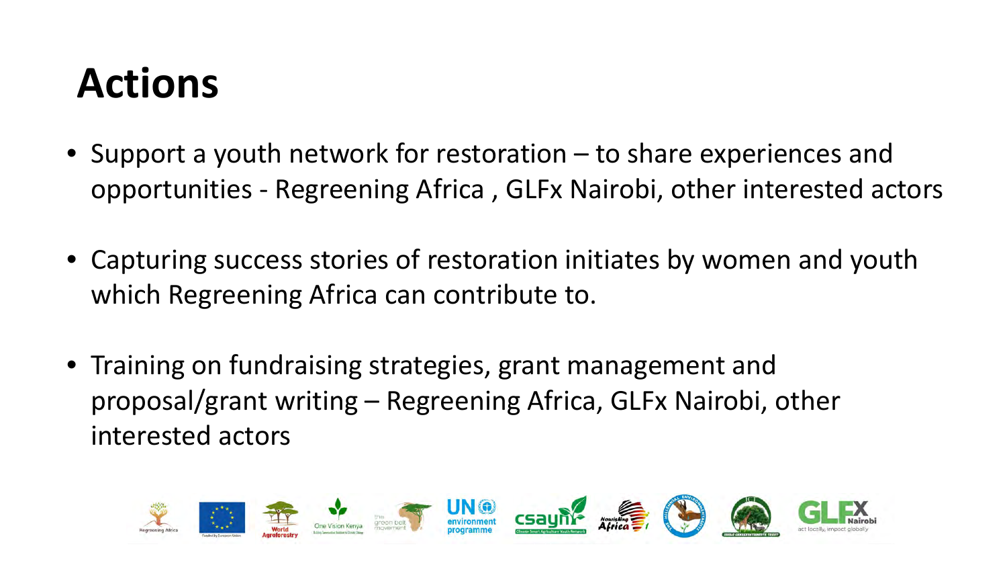# **Actions**

- Support a youth network for restoration to share experiences and opportunities - Regreening Africa , GLFx Nairobi, other interested actors
- Capturing success stories of restoration initiates by women and youth which Regreening Africa can contribute to.
- Training on fundraising strategies, grant management and proposal/grant writing – Regreening Africa, GLFx Nairobi, other interested actors

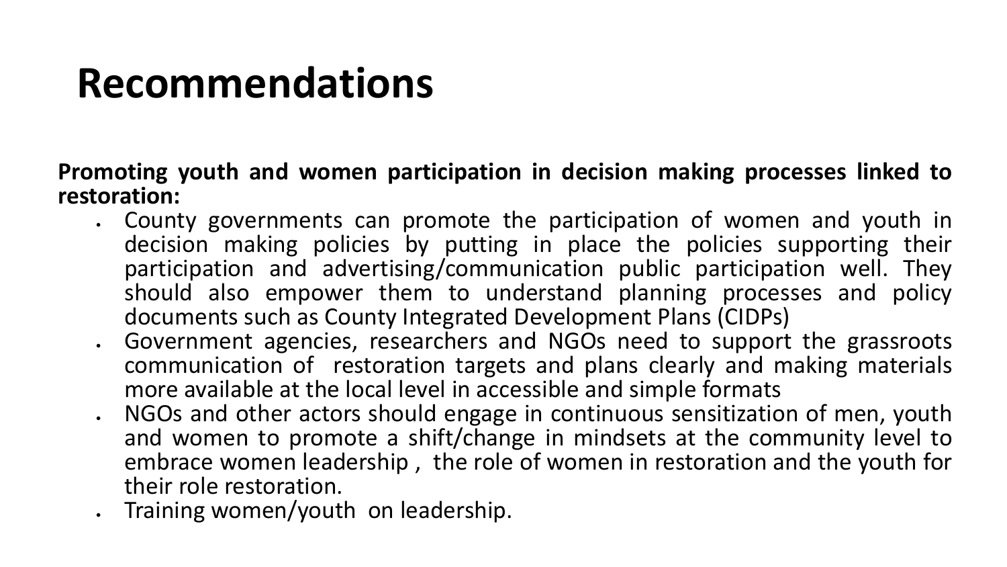#### **Promoting youth and women participation in decision making processes linked to restoration:**

- County governments can promote the participation of women and youth in decision making policies by putting in place the policies supporting their participation and advertising/communication public participation well. They should also empower them to understand planning processes and policy documents such as County Integrated Development Plans (CIDPs)
- Government agencies, researchers and NGOs need to support the grassroots communication of restoration targets and plans clearly and making materials more available at the local level in accessible and simple formats
- NGOs and other actors should engage in continuous sensitization of men, youth and women to promote a shift/change in mindsets at the community level to embrace women leadership , the role of women in restoration and the youth for their role restoration.
- Training women/youth on leadership.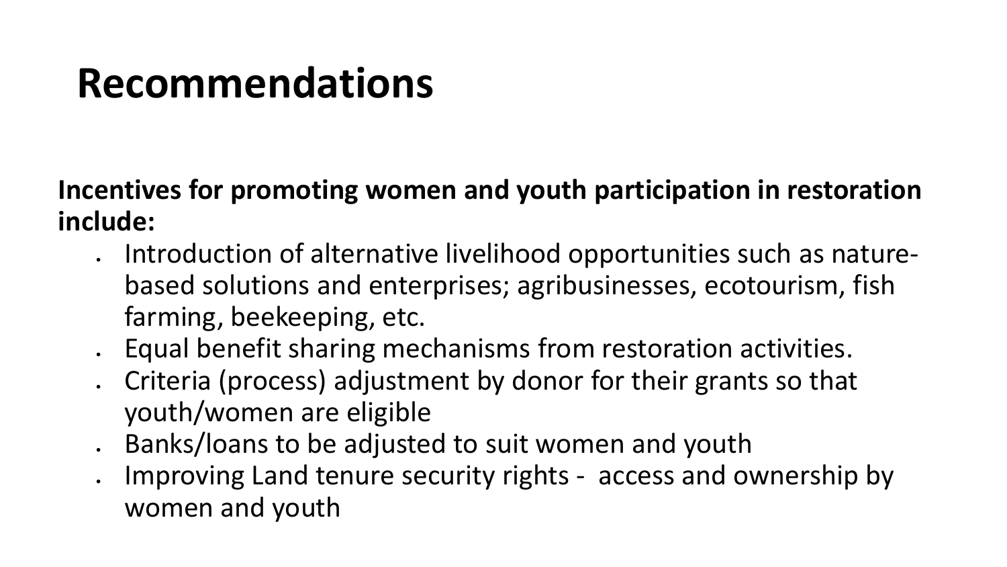**Incentives for promoting women and youth participation in restoration include:**

- Introduction of alternative livelihood opportunities such as naturebased solutions and enterprises; agribusinesses, ecotourism, fish farming, beekeeping, etc.
- Equal benefit sharing mechanisms from restoration activities.
- Criteria (process) adjustment by donor for their grants so that youth/women are eligible
- Banks/loans to be adjusted to suit women and youth
- Improving Land tenure security rights access and ownership by women and youth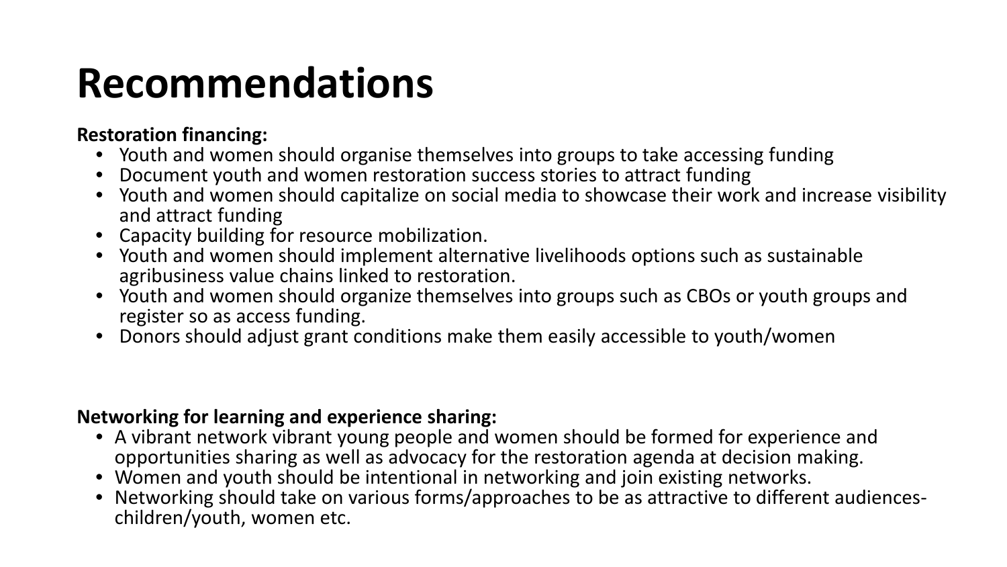#### **Restoration financing:**

- Youth and women should organise themselves into groups to take accessing funding
- Document youth and women restoration success stories to attract funding
- Youth and women should capitalize on social media to showcase their work and increase visibility and attract funding
- Capacity building for resource mobilization.
- Youth and women should implement alternative livelihoods options such as sustainable agribusiness value chains linked to restoration.
- Youth and women should organize themselves into groups such as CBOs or youth groups and register so as access funding.
- Donors should adjust grant conditions make them easily accessible to youth/women

#### **Networking for learning and experience sharing:**

- A vibrant network vibrant young people and women should be formed for experience and opportunities sharing as well as advocacy for the restoration agenda at decision making.
- Women and youth should be intentional in networking and join existing networks.
- Networking should take on various forms/approaches to be as attractive to different audiences- children/youth, women etc.